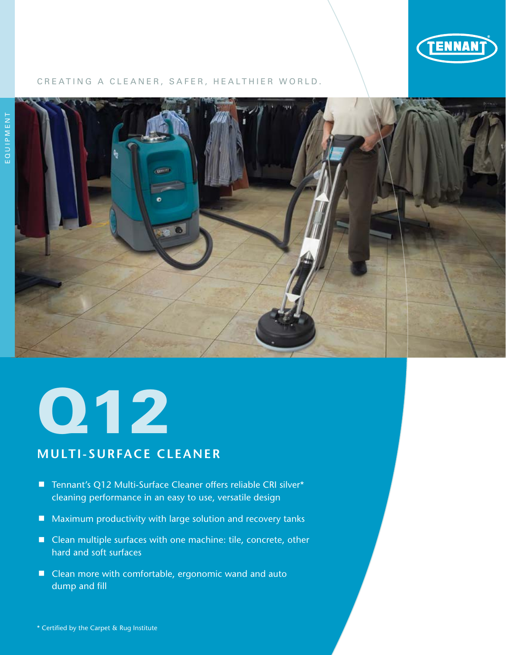

# CREATING A CLEANER, SAFER, HEALTHIER WORLD.



# Q12

# **multi-Surface Cleaner**

- Tennant's Q12 Multi-Surface Cleaner offers reliable CRI silver\* cleaning performance in an easy to use, versatile design
- $\blacksquare$  Maximum productivity with large solution and recovery tanks
- Clean multiple surfaces with one machine: tile, concrete, other hard and soft surfaces
- Clean more with comfortable, ergonomic wand and auto dump and fill